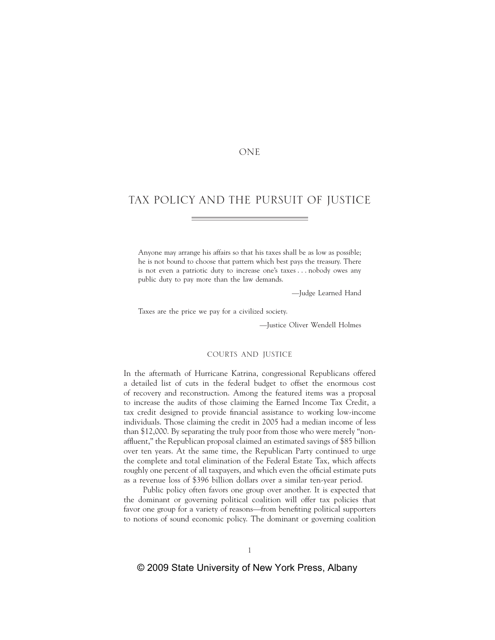## ONE

# TAX POLICY AND THE PURSUIT OF JUSTICE

Anyone may arrange his affairs so that his taxes shall be as low as possible; he is not bound to choose that pattern which best pays the treasury. There is not even a patriotic duty to increase one's taxes . . . nobody owes any public duty to pay more than the law demands.

—Judge Learned Hand

Taxes are the price we pay for a civilized society.

—Justice Oliver Wendell Holmes

#### COURTS AND JUSTICE

In the aftermath of Hurricane Katrina, congressional Republicans offered a detailed list of cuts in the federal budget to offset the enormous cost of recovery and reconstruction. Among the featured items was a proposal to increase the audits of those claiming the Earned Income Tax Credit, a tax credit designed to provide financial assistance to working low-income individuals. Those claiming the credit in 2005 had a median income of less than \$12,000. By separating the truly poor from those who were merely "nonaffluent," the Republican proposal claimed an estimated savings of \$85 billion over ten years. At the same time, the Republican Party continued to urge the complete and total elimination of the Federal Estate Tax, which affects roughly one percent of all taxpayers, and which even the official estimate puts as a revenue loss of \$396 billion dollars over a similar ten-year period.

Public policy often favors one group over another. It is expected that the dominant or governing political coalition will offer tax policies that favor one group for a variety of reasons—from benefiting political supporters to notions of sound economic policy. The dominant or governing coalition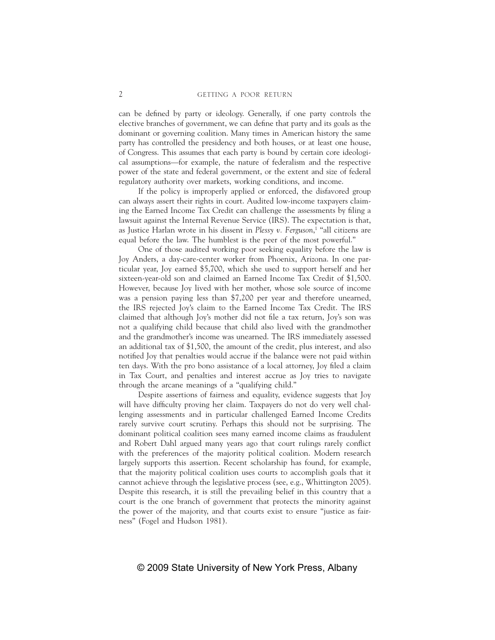can be defined by party or ideology. Generally, if one party controls the elective branches of government, we can define that party and its goals as the dominant or governing coalition. Many times in American history the same party has controlled the presidency and both houses, or at least one house, of Congress. This assumes that each party is bound by certain core ideological assumptions—for example, the nature of federalism and the respective power of the state and federal government, or the extent and size of federal regulatory authority over markets, working conditions, and income.

If the policy is improperly applied or enforced, the disfavored group can always assert their rights in court. Audited low-income taxpayers claiming the Earned Income Tax Credit can challenge the assessments by filing a lawsuit against the Internal Revenue Service (IRS). The expectation is that, as Justice Harlan wrote in his dissent in *Plessy v. Ferguson*, 1 "all citizens are equal before the law. The humblest is the peer of the most powerful."

One of those audited working poor seeking equality before the law is Joy Anders, a day-care-center worker from Phoenix, Arizona. In one particular year, Joy earned \$5,700, which she used to support herself and her sixteen-year-old son and claimed an Earned Income Tax Credit of \$1,500. However, because Joy lived with her mother, whose sole source of income was a pension paying less than \$7,200 per year and therefore unearned, the IRS rejected Joy's claim to the Earned Income Tax Credit. The IRS claimed that although Joy's mother did not file a tax return, Joy's son was not a qualifying child because that child also lived with the grandmother and the grandmother's income was unearned. The IRS immediately assessed an additional tax of \$1,500, the amount of the credit, plus interest, and also notified Joy that penalties would accrue if the balance were not paid within ten days. With the pro bono assistance of a local attorney, Joy filed a claim in Tax Court, and penalties and interest accrue as Joy tries to navigate through the arcane meanings of a "qualifying child."

Despite assertions of fairness and equality, evidence suggests that Joy will have difficulty proving her claim. Taxpayers do not do very well challenging assessments and in particular challenged Earned Income Credits rarely survive court scrutiny. Perhaps this should not be surprising. The dominant political coalition sees many earned income claims as fraudulent and Robert Dahl argued many years ago that court rulings rarely conflict with the preferences of the majority political coalition. Modern research largely supports this assertion. Recent scholarship has found, for example, that the majority political coalition uses courts to accomplish goals that it cannot achieve through the legislative process (see, e.g., Whittington 2005). Despite this research, it is still the prevailing belief in this country that a court is the one branch of government that protects the minority against the power of the majority, and that courts exist to ensure "justice as fairness" (Fogel and Hudson 1981).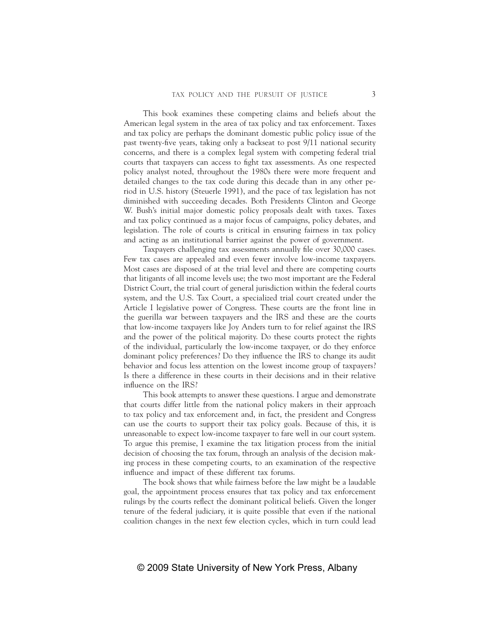This book examines these competing claims and beliefs about the American legal system in the area of tax policy and tax enforcement. Taxes and tax policy are perhaps the dominant domestic public policy issue of the past twenty-five years, taking only a backseat to post  $9/11$  national security concerns, and there is a complex legal system with competing federal trial courts that taxpayers can access to fight tax assessments. As one respected policy analyst noted, throughout the 1980s there were more frequent and detailed changes to the tax code during this decade than in any other period in U.S. history (Steuerle 1991), and the pace of tax legislation has not diminished with succeeding decades. Both Presidents Clinton and George W. Bush's initial major domestic policy proposals dealt with taxes. Taxes and tax policy continued as a major focus of campaigns, policy debates, and legislation. The role of courts is critical in ensuring fairness in tax policy and acting as an institutional barrier against the power of government.

Taxpayers challenging tax assessments annually file over 30,000 cases. Few tax cases are appealed and even fewer involve low-income taxpayers. Most cases are disposed of at the trial level and there are competing courts that litigants of all income levels use; the two most important are the Federal District Court, the trial court of general jurisdiction within the federal courts system, and the U.S. Tax Court, a specialized trial court created under the Article I legislative power of Congress. These courts are the front line in the guerilla war between taxpayers and the IRS and these are the courts that low-income taxpayers like Joy Anders turn to for relief against the IRS and the power of the political majority. Do these courts protect the rights of the individual, particularly the low-income taxpayer, or do they enforce dominant policy preferences? Do they influence the IRS to change its audit behavior and focus less attention on the lowest income group of taxpayers? Is there a difference in these courts in their decisions and in their relative influence on the IRS?

This book attempts to answer these questions. I argue and demonstrate that courts differ little from the national policy makers in their approach to tax policy and tax enforcement and, in fact, the president and Congress can use the courts to support their tax policy goals. Because of this, it is unreasonable to expect low-income taxpayer to fare well in our court system. To argue this premise, I examine the tax litigation process from the initial decision of choosing the tax forum, through an analysis of the decision making process in these competing courts, to an examination of the respective influence and impact of these different tax forums.

The book shows that while fairness before the law might be a laudable goal, the appointment process ensures that tax policy and tax enforcement rulings by the courts reflect the dominant political beliefs. Given the longer tenure of the federal judiciary, it is quite possible that even if the national coalition changes in the next few election cycles, which in turn could lead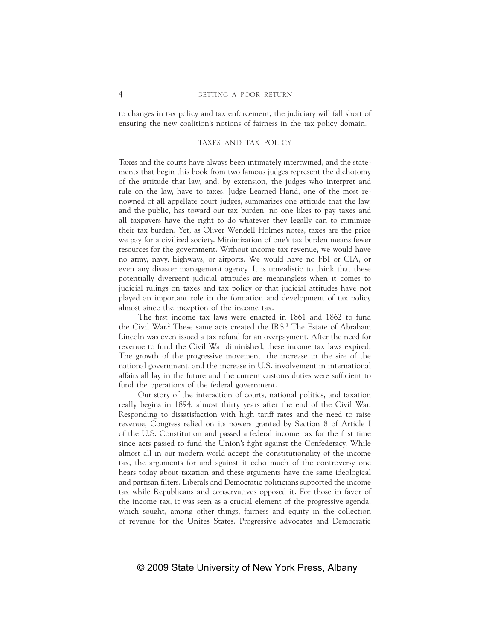to changes in tax policy and tax enforcement, the judiciary will fall short of ensuring the new coalition's notions of fairness in the tax policy domain.

#### TAXES AND TAX POLICY

Taxes and the courts have always been intimately intertwined, and the statements that begin this book from two famous judges represent the dichotomy of the attitude that law, and, by extension, the judges who interpret and rule on the law, have to taxes. Judge Learned Hand, one of the most renowned of all appellate court judges, summarizes one attitude that the law, and the public, has toward our tax burden: no one likes to pay taxes and all taxpayers have the right to do whatever they legally can to minimize their tax burden. Yet, as Oliver Wendell Holmes notes, taxes are the price we pay for a civilized society. Minimization of one's tax burden means fewer resources for the government. Without income tax revenue, we would have no army, navy, highways, or airports. We would have no FBI or CIA, or even any disaster management agency. It is unrealistic to think that these potentially divergent judicial attitudes are meaningless when it comes to judicial rulings on taxes and tax policy or that judicial attitudes have not played an important role in the formation and development of tax policy almost since the inception of the income tax.

The first income tax laws were enacted in 1861 and 1862 to fund the Civil War.<sup>2</sup> These same acts created the IRS.<sup>3</sup> The Estate of Abraham Lincoln was even issued a tax refund for an overpayment. After the need for revenue to fund the Civil War diminished, these income tax laws expired. The growth of the progressive movement, the increase in the size of the national government, and the increase in U.S. involvement in international affairs all lay in the future and the current customs duties were sufficient to fund the operations of the federal government.

Our story of the interaction of courts, national politics, and taxation really begins in 1894, almost thirty years after the end of the Civil War. Responding to dissatisfaction with high tariff rates and the need to raise revenue, Congress relied on its powers granted by Section 8 of Article I of the U.S. Constitution and passed a federal income tax for the first time since acts passed to fund the Union's fight against the Confederacy. While almost all in our modern world accept the constitutionality of the income tax, the arguments for and against it echo much of the controversy one hears today about taxation and these arguments have the same ideological and partisan filters. Liberals and Democratic politicians supported the income tax while Republicans and conservatives opposed it. For those in favor of the income tax, it was seen as a crucial element of the progressive agenda, which sought, among other things, fairness and equity in the collection of revenue for the Unites States. Progressive advocates and Democratic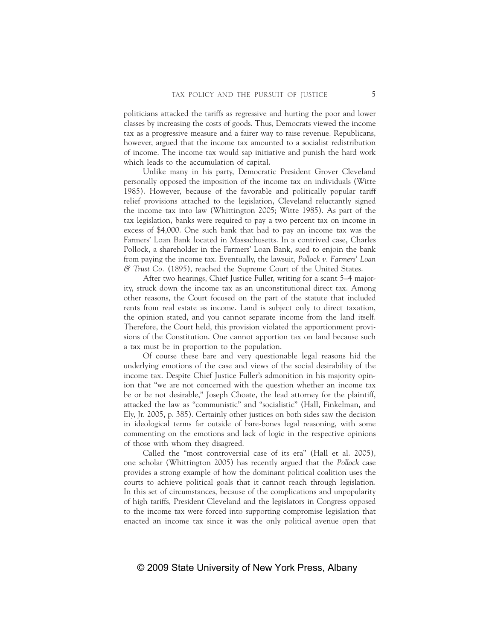politicians attacked the tariffs as regressive and hurting the poor and lower classes by increasing the costs of goods. Thus, Democrats viewed the income tax as a progressive measure and a fairer way to raise revenue. Republicans, however, argued that the income tax amounted to a socialist redistribution of income. The income tax would sap initiative and punish the hard work which leads to the accumulation of capital.

Unlike many in his party, Democratic President Grover Cleveland personally opposed the imposition of the income tax on individuals (Witte 1985). However, because of the favorable and politically popular tariff relief provisions attached to the legislation, Cleveland reluctantly signed the income tax into law (Whittington 2005; Witte 1985). As part of the tax legislation, banks were required to pay a two percent tax on income in excess of \$4,000. One such bank that had to pay an income tax was the Farmers' Loan Bank located in Massachusetts. In a contrived case, Charles Pollock, a shareholder in the Farmers' Loan Bank, sued to enjoin the bank from paying the income tax. Eventually, the lawsuit, *Pollock v. Farmers' Loan & Trust Co.* (1895), reached the Supreme Court of the United States.

After two hearings, Chief Justice Fuller, writing for a scant 5–4 majority, struck down the income tax as an unconstitutional direct tax. Among other reasons, the Court focused on the part of the statute that included rents from real estate as income. Land is subject only to direct taxation, the opinion stated, and you cannot separate income from the land itself. Therefore, the Court held, this provision violated the apportionment provisions of the Constitution. One cannot apportion tax on land because such a tax must be in proportion to the population.

Of course these bare and very questionable legal reasons hid the underlying emotions of the case and views of the social desirability of the income tax. Despite Chief Justice Fuller's admonition in his majority opinion that "we are not concerned with the question whether an income tax be or be not desirable," Joseph Choate, the lead attorney for the plaintiff, attacked the law as "communistic" and "socialistic" (Hall, Finkelman, and Ely, Jr. 2005, p. 385). Certainly other justices on both sides saw the decision in ideological terms far outside of bare-bones legal reasoning, with some commenting on the emotions and lack of logic in the respective opinions of those with whom they disagreed.

Called the "most controversial case of its era" (Hall et al. 2005), one scholar (Whittington 2005) has recently argued that the *Pollock* case provides a strong example of how the dominant political coalition uses the courts to achieve political goals that it cannot reach through legislation. In this set of circumstances, because of the complications and unpopularity of high tariffs, President Cleveland and the legislators in Congress opposed to the income tax were forced into supporting compromise legislation that enacted an income tax since it was the only political avenue open that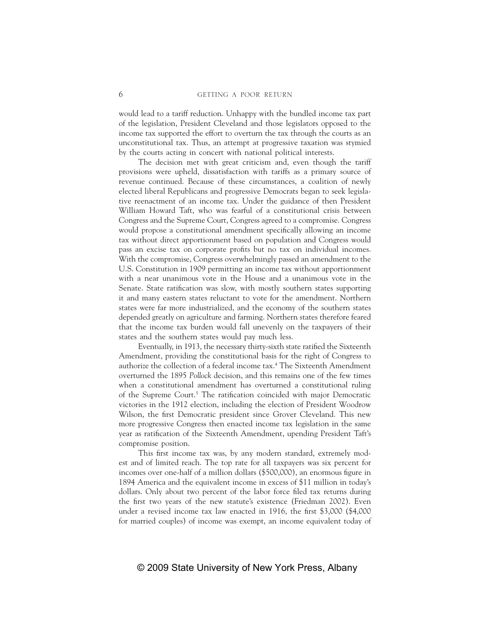would lead to a tariff reduction. Unhappy with the bundled income tax part of the legislation, President Cleveland and those legislators opposed to the income tax supported the effort to overturn the tax through the courts as an unconstitutional tax. Thus, an attempt at progressive taxation was stymied by the courts acting in concert with national political interests.

The decision met with great criticism and, even though the tariff provisions were upheld, dissatisfaction with tariffs as a primary source of revenue continued. Because of these circumstances, a coalition of newly elected liberal Republicans and progressive Democrats began to seek legislative reenactment of an income tax. Under the guidance of then President William Howard Taft, who was fearful of a constitutional crisis between Congress and the Supreme Court, Congress agreed to a compromise. Congress would propose a constitutional amendment specifically allowing an income tax without direct apportionment based on population and Congress would pass an excise tax on corporate profits but no tax on individual incomes. With the compromise, Congress overwhelmingly passed an amendment to the U.S. Constitution in 1909 permitting an income tax without apportionment with a near unanimous vote in the House and a unanimous vote in the Senate. State ratification was slow, with mostly southern states supporting it and many eastern states reluctant to vote for the amendment. Northern states were far more industrialized, and the economy of the southern states depended greatly on agriculture and farming. Northern states therefore feared that the income tax burden would fall unevenly on the taxpayers of their states and the southern states would pay much less.

Eventually, in 1913, the necessary thirty-sixth state ratified the Sixteenth Amendment, providing the constitutional basis for the right of Congress to authorize the collection of a federal income tax.4 The Sixteenth Amendment overturned the 1895 *Pollock* decision, and this remains one of the few times when a constitutional amendment has overturned a constitutional ruling of the Supreme Court.<sup>5</sup> The ratification coincided with major Democratic victories in the 1912 election, including the election of President Woodrow Wilson, the first Democratic president since Grover Cleveland. This new more progressive Congress then enacted income tax legislation in the same year as ratification of the Sixteenth Amendment, upending President Taft's compromise position.

This first income tax was, by any modern standard, extremely modest and of limited reach. The top rate for all taxpayers was six percent for incomes over one-half of a million dollars (\$500,000), an enormous figure in 1894 America and the equivalent income in excess of \$11 million in today's dollars. Only about two percent of the labor force filed tax returns during the first two years of the new statute's existence (Friedman 2002). Even under a revised income tax law enacted in 1916, the first \$3,000 (\$4,000) for married couples) of income was exempt, an income equivalent today of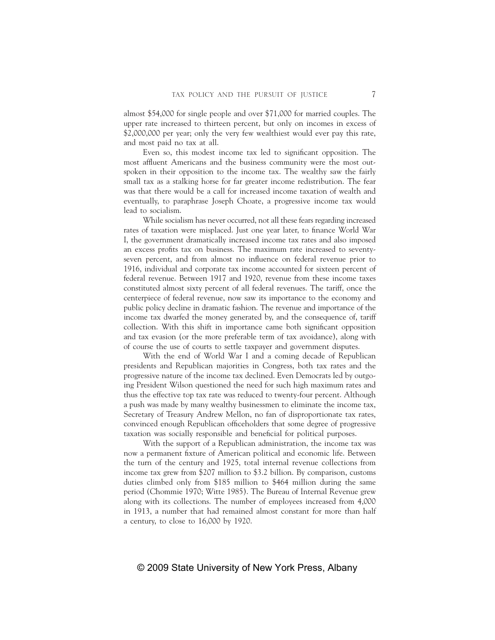almost \$54,000 for single people and over \$71,000 for married couples. The upper rate increased to thirteen percent, but only on incomes in excess of \$2,000,000 per year; only the very few wealthiest would ever pay this rate, and most paid no tax at all.

Even so, this modest income tax led to significant opposition. The most affluent Americans and the business community were the most outspoken in their opposition to the income tax. The wealthy saw the fairly small tax as a stalking horse for far greater income redistribution. The fear was that there would be a call for increased income taxation of wealth and eventually, to paraphrase Joseph Choate, a progressive income tax would lead to socialism.

While socialism has never occurred, not all these fears regarding increased rates of taxation were misplaced. Just one year later, to finance World War I, the government dramatically increased income tax rates and also imposed an excess profits tax on business. The maximum rate increased to seventyseven percent, and from almost no influence on federal revenue prior to 1916, individual and corporate tax income accounted for sixteen percent of federal revenue. Between 1917 and 1920, revenue from these income taxes constituted almost sixty percent of all federal revenues. The tariff, once the centerpiece of federal revenue, now saw its importance to the economy and public policy decline in dramatic fashion. The revenue and importance of the income tax dwarfed the money generated by, and the consequence of, tariff collection. With this shift in importance came both significant opposition and tax evasion (or the more preferable term of tax avoidance), along with of course the use of courts to settle taxpayer and government disputes.

With the end of World War I and a coming decade of Republican presidents and Republican majorities in Congress, both tax rates and the progressive nature of the income tax declined. Even Democrats led by outgoing President Wilson questioned the need for such high maximum rates and thus the effective top tax rate was reduced to twenty-four percent. Although a push was made by many wealthy businessmen to eliminate the income tax, Secretary of Treasury Andrew Mellon, no fan of disproportionate tax rates, convinced enough Republican officeholders that some degree of progressive taxation was socially responsible and beneficial for political purposes.

With the support of a Republican administration, the income tax was now a permanent fixture of American political and economic life. Between the turn of the century and 1925, total internal revenue collections from income tax grew from \$207 million to \$3.2 billion. By comparison, customs duties climbed only from \$185 million to \$464 million during the same period (Chommie 1970; Witte 1985). The Bureau of Internal Revenue grew along with its collections. The number of employees increased from 4,000 in 1913, a number that had remained almost constant for more than half a century, to close to 16,000 by 1920.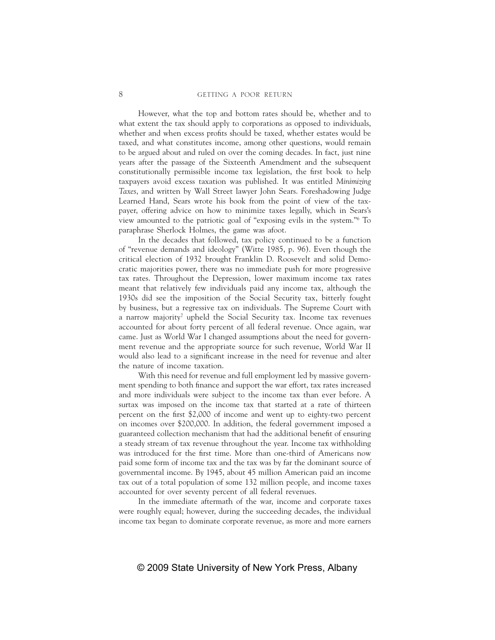However, what the top and bottom rates should be, whether and to what extent the tax should apply to corporations as opposed to individuals, whether and when excess profits should be taxed, whether estates would be taxed, and what constitutes income, among other questions, would remain to be argued about and ruled on over the coming decades. In fact, just nine years after the passage of the Sixteenth Amendment and the subsequent constitutionally permissible income tax legislation, the first book to help taxpayers avoid excess taxation was published. It was entitled *Minimizing Taxes*, and written by Wall Street lawyer John Sears. Foreshadowing Judge Learned Hand, Sears wrote his book from the point of view of the taxpayer, offering advice on how to minimize taxes legally, which in Sears's view amounted to the patriotic goal of "exposing evils in the system."6 To paraphrase Sherlock Holmes, the game was afoot.

In the decades that followed, tax policy continued to be a function of "revenue demands and ideology" (Witte 1985, p. 96). Even though the critical election of 1932 brought Franklin D. Roosevelt and solid Democratic majorities power, there was no immediate push for more progressive tax rates. Throughout the Depression, lower maximum income tax rates meant that relatively few individuals paid any income tax, although the 1930s did see the imposition of the Social Security tax, bitterly fought by business, but a regressive tax on individuals. The Supreme Court with a narrow majority<sup>7</sup> upheld the Social Security tax. Income tax revenues accounted for about forty percent of all federal revenue. Once again, war came. Just as World War I changed assumptions about the need for government revenue and the appropriate source for such revenue, World War II would also lead to a significant increase in the need for revenue and alter the nature of income taxation.

With this need for revenue and full employment led by massive government spending to both finance and support the war effort, tax rates increased and more individuals were subject to the income tax than ever before. A surtax was imposed on the income tax that started at a rate of thirteen percent on the first \$2,000 of income and went up to eighty-two percent on incomes over \$200,000. In addition, the federal government imposed a guaranteed collection mechanism that had the additional benefit of ensuring a steady stream of tax revenue throughout the year. Income tax withholding was introduced for the first time. More than one-third of Americans now paid some form of income tax and the tax was by far the dominant source of governmental income. By 1945, about 45 million American paid an income tax out of a total population of some 132 million people, and income taxes accounted for over seventy percent of all federal revenues.

In the immediate aftermath of the war, income and corporate taxes were roughly equal; however, during the succeeding decades, the individual income tax began to dominate corporate revenue, as more and more earners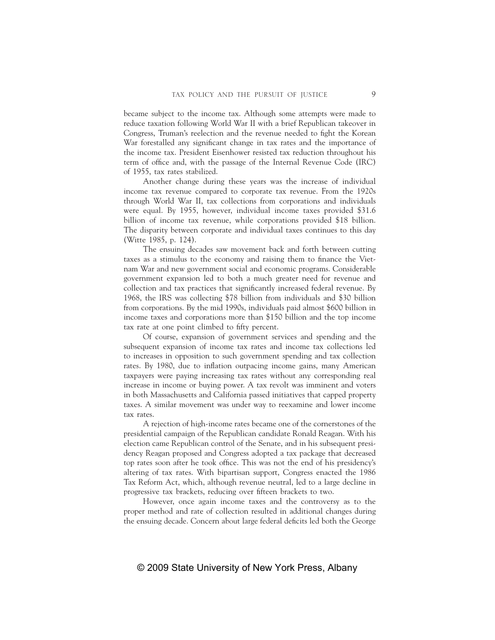became subject to the income tax. Although some attempts were made to reduce taxation following World War II with a brief Republican takeover in Congress, Truman's reelection and the revenue needed to fight the Korean War forestalled any significant change in tax rates and the importance of the income tax. President Eisenhower resisted tax reduction throughout his term of office and, with the passage of the Internal Revenue Code (IRC) of 1955, tax rates stabilized.

Another change during these years was the increase of individual income tax revenue compared to corporate tax revenue. From the 1920s through World War II, tax collections from corporations and individuals were equal. By 1955, however, individual income taxes provided \$31.6 billion of income tax revenue, while corporations provided \$18 billion. The disparity between corporate and individual taxes continues to this day (Witte 1985, p. 124).

The ensuing decades saw movement back and forth between cutting taxes as a stimulus to the economy and raising them to finance the Vietnam War and new government social and economic programs. Considerable government expansion led to both a much greater need for revenue and collection and tax practices that significantly increased federal revenue. By 1968, the IRS was collecting \$78 billion from individuals and \$30 billion from corporations. By the mid 1990s, individuals paid almost \$600 billion in income taxes and corporations more than \$150 billion and the top income tax rate at one point climbed to fifty percent.

Of course, expansion of government services and spending and the subsequent expansion of income tax rates and income tax collections led to increases in opposition to such government spending and tax collection rates. By 1980, due to inflation outpacing income gains, many American taxpayers were paying increasing tax rates without any corresponding real increase in income or buying power. A tax revolt was imminent and voters in both Massachusetts and California passed initiatives that capped property taxes. A similar movement was under way to reexamine and lower income tax rates.

A rejection of high-income rates became one of the cornerstones of the presidential campaign of the Republican candidate Ronald Reagan. With his election came Republican control of the Senate, and in his subsequent presidency Reagan proposed and Congress adopted a tax package that decreased top rates soon after he took office. This was not the end of his presidency's altering of tax rates. With bipartisan support, Congress enacted the 1986 Tax Reform Act, which, although revenue neutral, led to a large decline in progressive tax brackets, reducing over fifteen brackets to two.

However, once again income taxes and the controversy as to the proper method and rate of collection resulted in additional changes during the ensuing decade. Concern about large federal deficits led both the George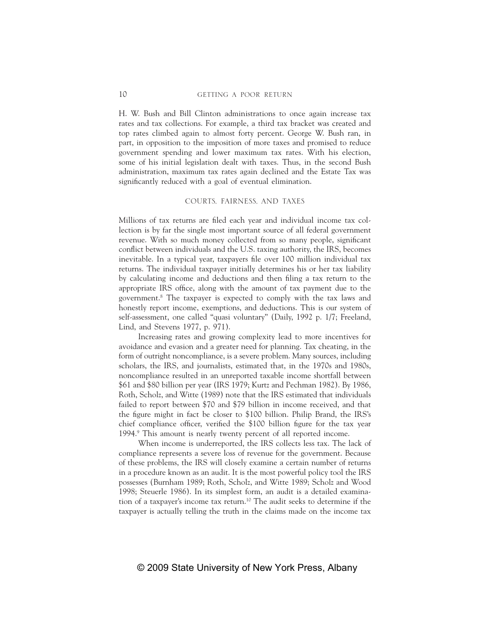H. W. Bush and Bill Clinton administrations to once again increase tax rates and tax collections. For example, a third tax bracket was created and top rates climbed again to almost forty percent. George W. Bush ran, in part, in opposition to the imposition of more taxes and promised to reduce government spending and lower maximum tax rates. With his election, some of his initial legislation dealt with taxes. Thus, in the second Bush administration, maximum tax rates again declined and the Estate Tax was significantly reduced with a goal of eventual elimination.

#### COURTS, FAIRNESS, AND TAXES

Millions of tax returns are filed each year and individual income tax collection is by far the single most important source of all federal government revenue. With so much money collected from so many people, significant conflict between individuals and the U.S. taxing authority, the IRS, becomes inevitable. In a typical year, taxpayers file over 100 million individual tax returns. The individual taxpayer initially determines his or her tax liability by calculating income and deductions and then filing a tax return to the appropriate IRS office, along with the amount of tax payment due to the government.8 The taxpayer is expected to comply with the tax laws and honestly report income, exemptions, and deductions. This is our system of self-assessment, one called "quasi voluntary" (Daily, 1992 p. 1/7; Freeland, Lind, and Stevens 1977, p. 971).

Increasing rates and growing complexity lead to more incentives for avoidance and evasion and a greater need for planning. Tax cheating, in the form of outright noncompliance, is a severe problem. Many sources, including scholars, the IRS, and journalists, estimated that, in the 1970s and 1980s, noncompliance resulted in an unreported taxable income shortfall between \$61 and \$80 billion per year (IRS 1979; Kurtz and Pechman 1982). By 1986, Roth, Scholz, and Witte (1989) note that the IRS estimated that individuals failed to report between \$70 and \$79 billion in income received, and that the figure might in fact be closer to \$100 billion. Philip Brand, the IRS's chief compliance officer, verified the \$100 billion figure for the tax year 1994.<sup>9</sup> This amount is nearly twenty percent of all reported income.

When income is underreported, the IRS collects less tax. The lack of compliance represents a severe loss of revenue for the government. Because of these problems, the IRS will closely examine a certain number of returns in a procedure known as an audit. It is the most powerful policy tool the IRS possesses (Burnham 1989; Roth, Scholz, and Witte 1989; Scholz and Wood 1998; Steuerle 1986). In its simplest form, an audit is a detailed examination of a taxpayer's income tax return.<sup>10</sup> The audit seeks to determine if the taxpayer is actually telling the truth in the claims made on the income tax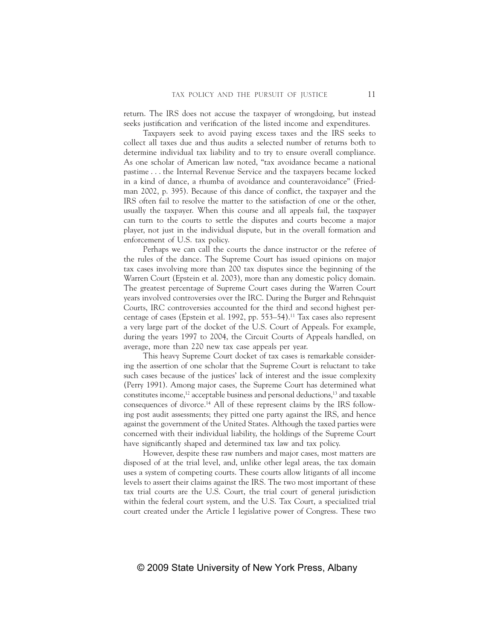return. The IRS does not accuse the taxpayer of wrongdoing, but instead seeks justification and verification of the listed income and expenditures.

Taxpayers seek to avoid paying excess taxes and the IRS seeks to collect all taxes due and thus audits a selected number of returns both to determine individual tax liability and to try to ensure overall compliance. As one scholar of American law noted, "tax avoidance became a national pastime . . . the Internal Revenue Service and the taxpayers became locked in a kind of dance, a rhumba of avoidance and counteravoidance" (Friedman 2002, p. 395). Because of this dance of conflict, the taxpayer and the IRS often fail to resolve the matter to the satisfaction of one or the other, usually the taxpayer. When this course and all appeals fail, the taxpayer can turn to the courts to settle the disputes and courts become a major player, not just in the individual dispute, but in the overall formation and enforcement of U.S. tax policy.

Perhaps we can call the courts the dance instructor or the referee of the rules of the dance. The Supreme Court has issued opinions on major tax cases involving more than 200 tax disputes since the beginning of the Warren Court (Epstein et al. 2003), more than any domestic policy domain. The greatest percentage of Supreme Court cases during the Warren Court years involved controversies over the IRC. During the Burger and Rehnquist Courts, IRC controversies accounted for the third and second highest percentage of cases (Epstein et al. 1992, pp. 553–54).11 Tax cases also represent a very large part of the docket of the U.S. Court of Appeals. For example, during the years 1997 to 2004, the Circuit Courts of Appeals handled, on average, more than 220 new tax case appeals per year.

This heavy Supreme Court docket of tax cases is remarkable considering the assertion of one scholar that the Supreme Court is reluctant to take such cases because of the justices' lack of interest and the issue complexity (Perry 1991). Among major cases, the Supreme Court has determined what constitutes income,12 acceptable business and personal deductions,13 and taxable consequences of divorce.14 All of these represent claims by the IRS following post audit assessments; they pitted one party against the IRS, and hence against the government of the United States. Although the taxed parties were concerned with their individual liability, the holdings of the Supreme Court have significantly shaped and determined tax law and tax policy.

However, despite these raw numbers and major cases, most matters are disposed of at the trial level, and, unlike other legal areas, the tax domain uses a system of competing courts. These courts allow litigants of all income levels to assert their claims against the IRS. The two most important of these tax trial courts are the U.S. Court, the trial court of general jurisdiction within the federal court system, and the U.S. Tax Court, a specialized trial court created under the Article I legislative power of Congress. These two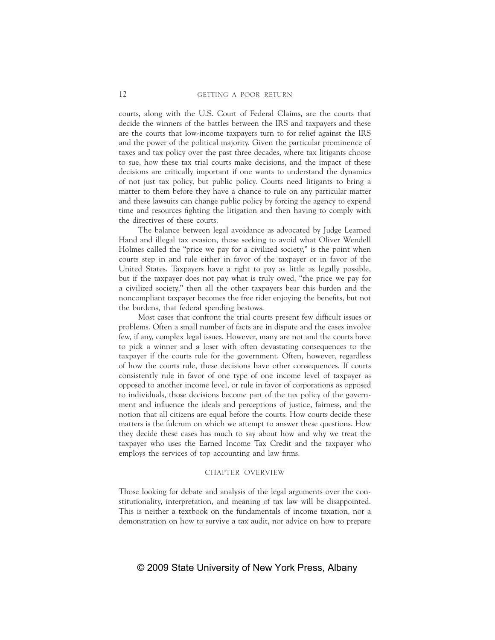courts, along with the U.S. Court of Federal Claims, are the courts that decide the winners of the battles between the IRS and taxpayers and these are the courts that low-income taxpayers turn to for relief against the IRS and the power of the political majority. Given the particular prominence of taxes and tax policy over the past three decades, where tax litigants choose to sue, how these tax trial courts make decisions, and the impact of these decisions are critically important if one wants to understand the dynamics of not just tax policy, but public policy. Courts need litigants to bring a matter to them before they have a chance to rule on any particular matter and these lawsuits can change public policy by forcing the agency to expend time and resources fighting the litigation and then having to comply with the directives of these courts.

The balance between legal avoidance as advocated by Judge Learned Hand and illegal tax evasion, those seeking to avoid what Oliver Wendell Holmes called the "price we pay for a civilized society," is the point when courts step in and rule either in favor of the taxpayer or in favor of the United States. Taxpayers have a right to pay as little as legally possible, but if the taxpayer does not pay what is truly owed, "the price we pay for a civilized society," then all the other taxpayers bear this burden and the noncompliant taxpayer becomes the free rider enjoying the benefits, but not the burdens, that federal spending bestows.

Most cases that confront the trial courts present few difficult issues or problems. Often a small number of facts are in dispute and the cases involve few, if any, complex legal issues. However, many are not and the courts have to pick a winner and a loser with often devastating consequences to the taxpayer if the courts rule for the government. Often, however, regardless of how the courts rule, these decisions have other consequences. If courts consistently rule in favor of one type of one income level of taxpayer as opposed to another income level, or rule in favor of corporations as opposed to individuals, those decisions become part of the tax policy of the government and influence the ideals and perceptions of justice, fairness, and the notion that all citizens are equal before the courts. How courts decide these matters is the fulcrum on which we attempt to answer these questions. How they decide these cases has much to say about how and why we treat the taxpayer who uses the Earned Income Tax Credit and the taxpayer who employs the services of top accounting and law firms.

### CHAPTER OVERVIEW

Those looking for debate and analysis of the legal arguments over the constitutionality, interpretation, and meaning of tax law will be disappointed. This is neither a textbook on the fundamentals of income taxation, nor a demonstration on how to survive a tax audit, nor advice on how to prepare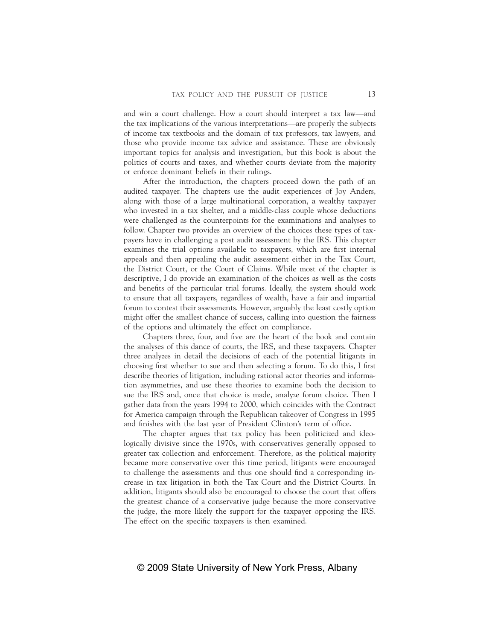and win a court challenge. How a court should interpret a tax law—and the tax implications of the various interpretations—are properly the subjects of income tax textbooks and the domain of tax professors, tax lawyers, and those who provide income tax advice and assistance. These are obviously important topics for analysis and investigation, but this book is about the politics of courts and taxes, and whether courts deviate from the majority or enforce dominant beliefs in their rulings.

After the introduction, the chapters proceed down the path of an audited taxpayer. The chapters use the audit experiences of Joy Anders, along with those of a large multinational corporation, a wealthy taxpayer who invested in a tax shelter, and a middle-class couple whose deductions were challenged as the counterpoints for the examinations and analyses to follow. Chapter two provides an overview of the choices these types of taxpayers have in challenging a post audit assessment by the IRS. This chapter examines the trial options available to taxpayers, which are first internal appeals and then appealing the audit assessment either in the Tax Court, the District Court, or the Court of Claims. While most of the chapter is descriptive, I do provide an examination of the choices as well as the costs and benefits of the particular trial forums. Ideally, the system should work to ensure that all taxpayers, regardless of wealth, have a fair and impartial forum to contest their assessments. However, arguably the least costly option might offer the smallest chance of success, calling into question the fairness of the options and ultimately the effect on compliance.

Chapters three, four, and five are the heart of the book and contain the analyses of this dance of courts, the IRS, and these taxpayers. Chapter three analyzes in detail the decisions of each of the potential litigants in choosing first whether to sue and then selecting a forum. To do this, I first describe theories of litigation, including rational actor theories and information asymmetries, and use these theories to examine both the decision to sue the IRS and, once that choice is made, analyze forum choice. Then I gather data from the years 1994 to 2000, which coincides with the Contract for America campaign through the Republican takeover of Congress in 1995 and finishes with the last year of President Clinton's term of office.

The chapter argues that tax policy has been politicized and ideologically divisive since the 1970s, with conservatives generally opposed to greater tax collection and enforcement. Therefore, as the political majority became more conservative over this time period, litigants were encouraged to challenge the assessments and thus one should find a corresponding increase in tax litigation in both the Tax Court and the District Courts. In addition, litigants should also be encouraged to choose the court that offers the greatest chance of a conservative judge because the more conservative the judge, the more likely the support for the taxpayer opposing the IRS. The effect on the specific taxpayers is then examined.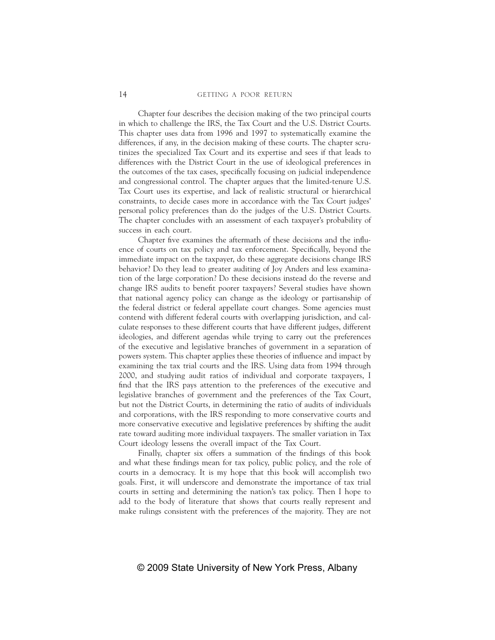Chapter four describes the decision making of the two principal courts in which to challenge the IRS, the Tax Court and the U.S. District Courts. This chapter uses data from 1996 and 1997 to systematically examine the differences, if any, in the decision making of these courts. The chapter scrutinizes the specialized Tax Court and its expertise and sees if that leads to differences with the District Court in the use of ideological preferences in the outcomes of the tax cases, specifically focusing on judicial independence and congressional control. The chapter argues that the limited-tenure U.S. Tax Court uses its expertise, and lack of realistic structural or hierarchical constraints, to decide cases more in accordance with the Tax Court judges' personal policy preferences than do the judges of the U.S. District Courts. The chapter concludes with an assessment of each taxpayer's probability of success in each court.

Chapter five examines the aftermath of these decisions and the influence of courts on tax policy and tax enforcement. Specifically, beyond the immediate impact on the taxpayer, do these aggregate decisions change IRS behavior? Do they lead to greater auditing of Joy Anders and less examination of the large corporation? Do these decisions instead do the reverse and change IRS audits to benefit poorer taxpayers? Several studies have shown that national agency policy can change as the ideology or partisanship of the federal district or federal appellate court changes. Some agencies must contend with different federal courts with overlapping jurisdiction, and calculate responses to these different courts that have different judges, different ideologies, and different agendas while trying to carry out the preferences of the executive and legislative branches of government in a separation of powers system. This chapter applies these theories of influence and impact by examining the tax trial courts and the IRS. Using data from 1994 through 2000, and studying audit ratios of individual and corporate taxpayers, I find that the IRS pays attention to the preferences of the executive and legislative branches of government and the preferences of the Tax Court, but not the District Courts, in determining the ratio of audits of individuals and corporations, with the IRS responding to more conservative courts and more conservative executive and legislative preferences by shifting the audit rate toward auditing more individual taxpayers. The smaller variation in Tax Court ideology lessens the overall impact of the Tax Court.

Finally, chapter six offers a summation of the findings of this book and what these findings mean for tax policy, public policy, and the role of courts in a democracy. It is my hope that this book will accomplish two goals. First, it will underscore and demonstrate the importance of tax trial courts in setting and determining the nation's tax policy. Then I hope to add to the body of literature that shows that courts really represent and make rulings consistent with the preferences of the majority. They are not